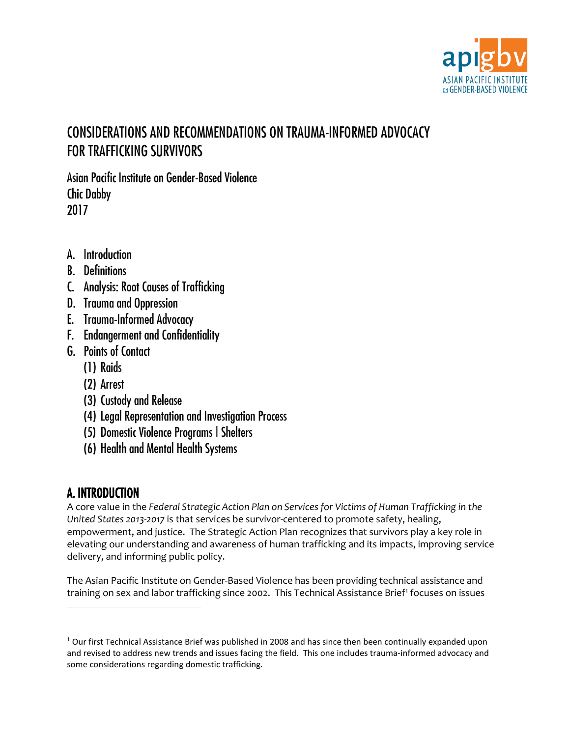

# CONSIDERATIONS AND RECOMMENDATIONS ON TRAUMA-INFORMED ADVOCACY FOR TRAFFICKING SURVIVORS

Asian Pacific Institute on Gender-Based Violence Chic Dabby 2017

- A. Introduction
- B. Definitions
- C. Analysis: Root Causes of Trafficking
- D. Trauma and Oppression
- E. Trauma-Informed Advocacy
- F. Endangerment and Confidentiality
- G. Points of Contact
	- (1) Raids
	- (2) Arrest
	- (3) Custody and Release
	- (4) Legal Representation and Investigation Process
	- (5) Domestic Violence Programs | Shelters
	- (6) Health and Mental Health Systems

# A. INTRODUCTION

l

A core value in the *Federal Strategic Action Plan on Services for Victims of Human Trafficking in the United States 2013-2017* is that services be survivor-centered to promote safety, healing, empowerment, and justice. The Strategic Action Plan recognizes that survivors play a key role in elevating our understanding and awareness of human trafficking and its impacts, improving service delivery, and informing public policy.

The Asian Pacific Institute on Gender-Based Violence has been providing technical assistance and training on sex and labor trafficking since 2002. This Technical Assistance Brief<sup>[1](#page-0-0)</sup> focuses on issues

<span id="page-0-0"></span><sup>&</sup>lt;sup>1</sup> Our first Technical Assistance Brief was published in 2008 and has since then been continually expanded upon and revised to address new trends and issues facing the field. This one includes trauma-informed advocacy and some considerations regarding domestic trafficking.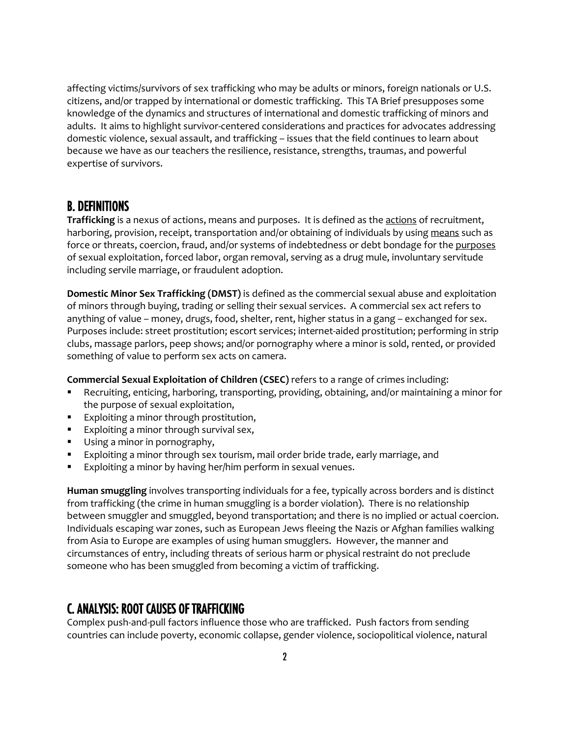affecting victims/survivors of sex trafficking who may be adults or minors, foreign nationals or U.S. citizens, and/or trapped by international or domestic trafficking. This TA Brief presupposes some knowledge of the dynamics and structures of international and domestic trafficking of minors and adults. It aims to highlight survivor-centered considerations and practices for advocates addressing domestic violence, sexual assault, and trafficking – issues that the field continues to learn about because we have as our teachers the resilience, resistance, strengths, traumas, and powerful expertise of survivors.

## B. DEFINITIONS

**Trafficking** is a nexus of actions, means and purposes. It is defined as the actions of recruitment, harboring, provision, receipt, transportation and/or obtaining of individuals by using means such as force or threats, coercion, fraud, and/or systems of indebtedness or debt bondage for the purposes of sexual exploitation, forced labor, organ removal, serving as a drug mule, involuntary servitude including servile marriage, or fraudulent adoption.

**Domestic Minor Sex Trafficking (DMST)** is defined as the commercial sexual abuse and exploitation of minors through buying, trading or selling their sexual services. A commercial sex act refers to anything of value – money, drugs, food, shelter, rent, higher status in a gang – exchanged for sex. Purposes include: street prostitution; escort services; internet-aided prostitution; performing in strip clubs, massage parlors, peep shows; and/or pornography where a minor is sold, rented, or provided something of value to perform sex acts on camera.

**Commercial Sexual Exploitation of Children (CSEC)** refers to a range of crimes including:

- Recruiting, enticing, harboring, transporting, providing, obtaining, and/or maintaining a minor for the purpose of sexual exploitation,
- **Exploiting a minor through prostitution,**
- **Exploiting a minor through survival sex,**
- Using a minor in pornography,
- Exploiting a minor through sex tourism, mail order bride trade, early marriage, and
- **Exploiting a minor by having her/him perform in sexual venues.**

**Human smuggling** involves transporting individuals for a fee, typically across borders and is distinct from trafficking (the crime in human smuggling is a border violation). There is no relationship between smuggler and smuggled, beyond transportation; and there is no implied or actual coercion. Individuals escaping war zones, such as European Jews fleeing the Nazis or Afghan families walking from Asia to Europe are examples of using human smugglers. However, the manner and circumstances of entry, including threats of serious harm or physical restraint do not preclude someone who has been smuggled from becoming a victim of trafficking.

## C. ANALYSIS: ROOT CAUSES OF TRAFFICKING

Complex push-and-pull factors influence those who are trafficked. Push factors from sending countries can include poverty, economic collapse, gender violence, sociopolitical violence, natural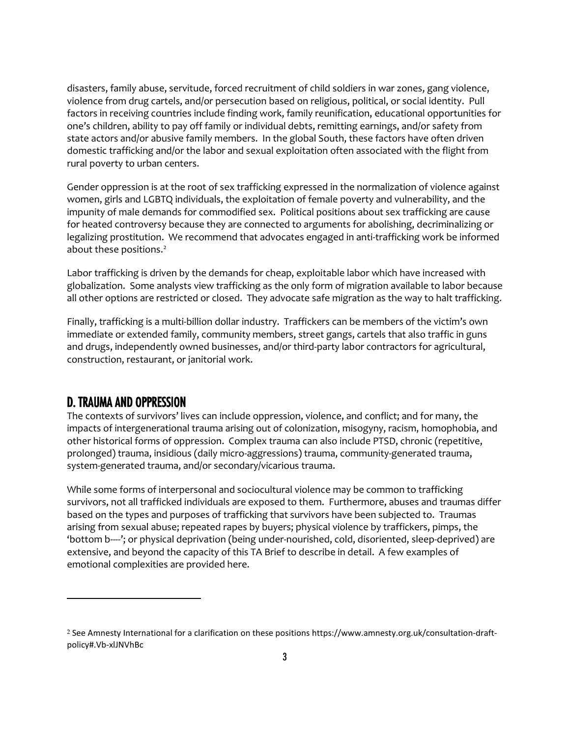disasters, family abuse, servitude, forced recruitment of child soldiers in war zones, gang violence, violence from drug cartels, and/or persecution based on religious, political, or social identity. Pull factors in receiving countries include finding work, family reunification, educational opportunities for one's children, ability to pay off family or individual debts, remitting earnings, and/or safety from state actors and/or abusive family members. In the global South, these factors have often driven domestic trafficking and/or the labor and sexual exploitation often associated with the flight from rural poverty to urban centers.

Gender oppression is at the root of sex trafficking expressed in the normalization of violence against women, girls and LGBTQ individuals, the exploitation of female poverty and vulnerability, and the impunity of male demands for commodified sex. Political positions about sex trafficking are cause for heated controversy because they are connected to arguments for abolishing, decriminalizing or legalizing prostitution. We recommend that advocates engaged in anti-trafficking work be informed about these positions.<sup>[2](#page-2-0)</sup>

Labor trafficking is driven by the demands for cheap, exploitable labor which have increased with globalization. Some analysts view trafficking as the only form of migration available to labor because all other options are restricted or closed. They advocate safe migration as the way to halt trafficking.

Finally, trafficking is a multi-billion dollar industry. Traffickers can be members of the victim's own immediate or extended family, community members, street gangs, cartels that also traffic in guns and drugs, independently owned businesses, and/or third-party labor contractors for agricultural, construction, restaurant, or janitorial work.

## D. TRAUMA AND OPPRESSION

l

The contexts of survivors' lives can include oppression, violence, and conflict; and for many, the impacts of intergenerational trauma arising out of colonization, misogyny, racism, homophobia, and other historical forms of oppression. Complex trauma can also include PTSD, chronic (repetitive, prolonged) trauma, insidious (daily micro-aggressions) trauma, community-generated trauma, system-generated trauma, and/or secondary/vicarious trauma.

While some forms of interpersonal and sociocultural violence may be common to trafficking survivors, not all trafficked individuals are exposed to them. Furthermore, abuses and traumas differ based on the types and purposes of trafficking that survivors have been subjected to. Traumas arising from sexual abuse; repeated rapes by buyers; physical violence by traffickers, pimps, the 'bottom b----'; or physical deprivation (being under-nourished, cold, disoriented, sleep-deprived) are extensive, and beyond the capacity of this TA Brief to describe in detail. A few examples of emotional complexities are provided here.

<span id="page-2-0"></span><sup>2</sup> See Amnesty International for a clarification on these positions https://www.amnesty.org.uk/consultation-draftpolicy#.Vb-xlJNVhBc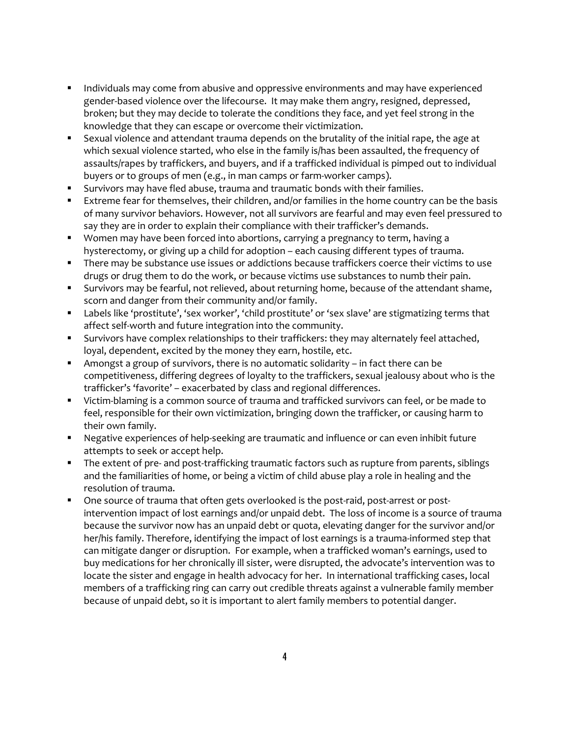- Individuals may come from abusive and oppressive environments and may have experienced gender-based violence over the lifecourse. It may make them angry, resigned, depressed, broken; but they may decide to tolerate the conditions they face, and yet feel strong in the knowledge that they can escape or overcome their victimization.
- Sexual violence and attendant trauma depends on the brutality of the initial rape, the age at which sexual violence started, who else in the family is/has been assaulted, the frequency of assaults/rapes by traffickers, and buyers, and if a trafficked individual is pimped out to individual buyers or to groups of men (e.g., in man camps or farm-worker camps).
- Survivors may have fled abuse, trauma and traumatic bonds with their families.
- **Extreme fear for themselves, their children, and/or families in the home country can be the basis** of many survivor behaviors. However, not all survivors are fearful and may even feel pressured to say they are in order to explain their compliance with their trafficker's demands.
- **Women may have been forced into abortions, carrying a pregnancy to term, having a** hysterectomy, or giving up a child for adoption – each causing different types of trauma.
- There may be substance use issues or addictions because traffickers coerce their victims to use drugs or drug them to do the work, or because victims use substances to numb their pain.
- **Survivors may be fearful, not relieved, about returning home, because of the attendant shame,** scorn and danger from their community and/or family.
- Labels like 'prostitute', 'sex worker', 'child prostitute' or 'sex slave' are stigmatizing terms that affect self-worth and future integration into the community.
- **Survivors have complex relationships to their traffickers: they may alternately feel attached,** loyal, dependent, excited by the money they earn, hostile, etc.
- Amongst a group of survivors, there is no automatic solidarity in fact there can be competitiveness, differing degrees of loyalty to the traffickers, sexual jealousy about who is the trafficker's 'favorite' – exacerbated by class and regional differences.
- Victim-blaming is a common source of trauma and trafficked survivors can feel, or be made to feel, responsible for their own victimization, bringing down the trafficker, or causing harm to their own family.
- Negative experiences of help-seeking are traumatic and influence or can even inhibit future attempts to seek or accept help.
- The extent of pre- and post-trafficking traumatic factors such as rupture from parents, siblings and the familiarities of home, or being a victim of child abuse play a role in healing and the resolution of trauma.
- One source of trauma that often gets overlooked is the post-raid, post-arrest or postintervention impact of lost earnings and/or unpaid debt. The loss of income is a source of trauma because the survivor now has an unpaid debt or quota, elevating danger for the survivor and/or her/his family. Therefore, identifying the impact of lost earnings is a trauma-informed step that can mitigate danger or disruption. For example, when a trafficked woman's earnings, used to buy medications for her chronically ill sister, were disrupted, the advocate's intervention was to locate the sister and engage in health advocacy for her. In international trafficking cases, local members of a trafficking ring can carry out credible threats against a vulnerable family member because of unpaid debt, so it is important to alert family members to potential danger.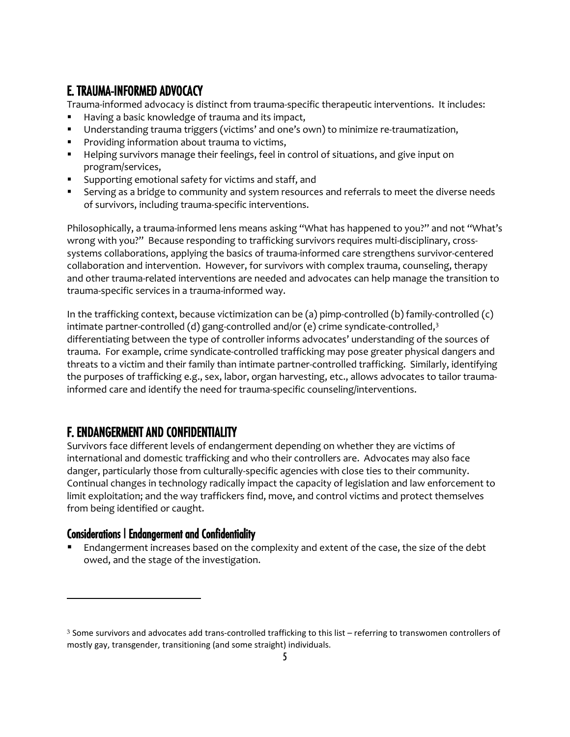## E. TRAUMA-INFORMED ADVOCACY

Trauma-informed advocacy is distinct from trauma-specific therapeutic interventions. It includes:

- Having a basic knowledge of trauma and its impact,
- Understanding trauma triggers (victims' and one's own) to minimize re-traumatization,
- **Providing information about trauma to victims,**
- Helping survivors manage their feelings, feel in control of situations, and give input on program/services,
- Supporting emotional safety for victims and staff, and
- Serving as a bridge to community and system resources and referrals to meet the diverse needs of survivors, including trauma-specific interventions.

Philosophically, a trauma-informed lens means asking "What has happened to you?" and not "What's wrong with you?" Because responding to trafficking survivors requires multi-disciplinary, crosssystems collaborations, applying the basics of trauma-informed care strengthens survivor-centered collaboration and intervention. However, for survivors with complex trauma, counseling, therapy and other trauma-related interventions are needed and advocates can help manage the transition to trauma-specific services in a trauma-informed way.

In the trafficking context, because victimization can be (a) pimp-controlled (b) family-controlled (c) intimate partner-controlled (d) gang-controlled and/or (e) crime syndicate-controlled, $3$ differentiating between the type of controller informs advocates' understanding of the sources of trauma. For example, crime syndicate-controlled trafficking may pose greater physical dangers and threats to a victim and their family than intimate partner-controlled trafficking. Similarly, identifying the purposes of trafficking e.g., sex, labor, organ harvesting, etc., allows advocates to tailor traumainformed care and identify the need for trauma-specific counseling/interventions.

# F. ENDANGERMENT AND CONFIDENTIALITY

Survivors face different levels of endangerment depending on whether they are victims of international and domestic trafficking and who their controllers are. Advocates may also face danger, particularly those from culturally-specific agencies with close ties to their community. Continual changes in technology radically impact the capacity of legislation and law enforcement to limit exploitation; and the way traffickers find, move, and control victims and protect themselves from being identified or caught.

## Considerations | Endangerment and Confidentiality

l

 Endangerment increases based on the complexity and extent of the case, the size of the debt owed, and the stage of the investigation.

<span id="page-4-0"></span> $3$  Some survivors and advocates add trans-controlled trafficking to this list – referring to transwomen controllers of mostly gay, transgender, transitioning (and some straight) individuals.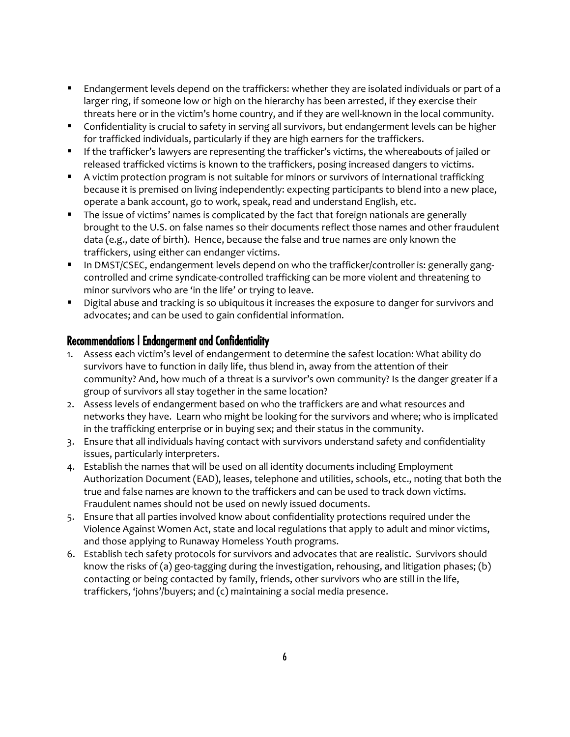- Endangerment levels depend on the traffickers: whether they are isolated individuals or part of a larger ring, if someone low or high on the hierarchy has been arrested, if they exercise their threats here or in the victim's home country, and if they are well-known in the local community.
- **Confidentiality is crucial to safety in serving all survivors, but endangerment levels can be higher** for trafficked individuals, particularly if they are high earners for the traffickers.
- If the trafficker's lawyers are representing the trafficker's victims, the whereabouts of jailed or released trafficked victims is known to the traffickers, posing increased dangers to victims.
- A victim protection program is not suitable for minors or survivors of international trafficking because it is premised on living independently: expecting participants to blend into a new place, operate a bank account, go to work, speak, read and understand English, etc.
- The issue of victims' names is complicated by the fact that foreign nationals are generally brought to the U.S. on false names so their documents reflect those names and other fraudulent data (e.g., date of birth). Hence, because the false and true names are only known the traffickers, using either can endanger victims.
- In DMST/CSEC, endangerment levels depend on who the trafficker/controller is: generally gangcontrolled and crime syndicate-controlled trafficking can be more violent and threatening to minor survivors who are 'in the life' or trying to leave.
- Digital abuse and tracking is so ubiquitous it increases the exposure to danger for survivors and advocates; and can be used to gain confidential information.

## Recommendations | Endangerment and Confidentiality

- 1. Assess each victim's level of endangerment to determine the safest location: What ability do survivors have to function in daily life, thus blend in, away from the attention of their community? And, how much of a threat is a survivor's own community? Is the danger greater if a group of survivors all stay together in the same location?
- 2. Assess levels of endangerment based on who the traffickers are and what resources and networks they have. Learn who might be looking for the survivors and where; who is implicated in the trafficking enterprise or in buying sex; and their status in the community.
- 3. Ensure that all individuals having contact with survivors understand safety and confidentiality issues, particularly interpreters.
- 4. Establish the names that will be used on all identity documents including Employment Authorization Document (EAD), leases, telephone and utilities, schools, etc., noting that both the true and false names are known to the traffickers and can be used to track down victims. Fraudulent names should not be used on newly issued documents.
- 5. Ensure that all parties involved know about confidentiality protections required under the Violence Against Women Act, state and local regulations that apply to adult and minor victims, and those applying to Runaway Homeless Youth programs.
- 6. Establish tech safety protocols for survivors and advocates that are realistic. Survivors should know the risks of (a) geo-tagging during the investigation, rehousing, and litigation phases; (b) contacting or being contacted by family, friends, other survivors who are still in the life, traffickers, 'johns'/buyers; and (c) maintaining a social media presence.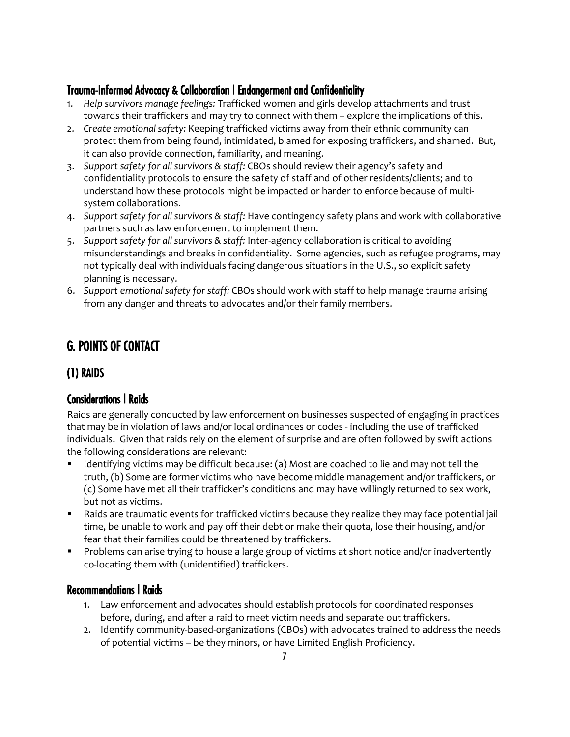## Trauma-Informed Advocacy & Collaboration | Endangerment and Confidentiality

- 1. *Help survivors manage feelings:* Trafficked women and girls develop attachments and trust towards their traffickers and may try to connect with them – explore the implications of this.
- 2. *Create emotional safety:* Keeping trafficked victims away from their ethnic community can protect them from being found, intimidated, blamed for exposing traffickers, and shamed. But, it can also provide connection, familiarity, and meaning.
- 3. *Support safety for all survivors & staff:* CBOs should review their agency's safety and confidentiality protocols to ensure the safety of staff and of other residents/clients; and to understand how these protocols might be impacted or harder to enforce because of multisystem collaborations.
- 4. *Support safety for all survivors & staff:* Have contingency safety plans and work with collaborative partners such as law enforcement to implement them.
- 5. *Support safety for all survivors & staff:* Inter-agency collaboration is critical to avoiding misunderstandings and breaks in confidentiality. Some agencies, such as refugee programs, may not typically deal with individuals facing dangerous situations in the U.S., so explicit safety planning is necessary.
- 6. *Support emotional safety for staff:* CBOs should work with staff to help manage trauma arising from any danger and threats to advocates and/or their family members.

# G. POINTS OF CONTACT

# (1) RAIDS

## Considerations | Raids

Raids are generally conducted by law enforcement on businesses suspected of engaging in practices that may be in violation of laws and/or local ordinances or codes - including the use of trafficked individuals. Given that raids rely on the element of surprise and are often followed by swift actions the following considerations are relevant:

- Identifying victims may be difficult because: (a) Most are coached to lie and may not tell the truth, (b) Some are former victims who have become middle management and/or traffickers, or (c) Some have met all their trafficker's conditions and may have willingly returned to sex work, but not as victims.
- Raids are traumatic events for trafficked victims because they realize they may face potential jail time, be unable to work and pay off their debt or make their quota, lose their housing, and/or fear that their families could be threatened by traffickers.
- **Problems can arise trying to house a large group of victims at short notice and/or inadvertently** co-locating them with (unidentified) traffickers.

## Recommendations | Raids

- 1. Law enforcement and advocates should establish protocols for coordinated responses before, during, and after a raid to meet victim needs and separate out traffickers.
- 2. Identify community-based-organizations (CBOs) with advocates trained to address the needs of potential victims – be they minors, or have Limited English Proficiency.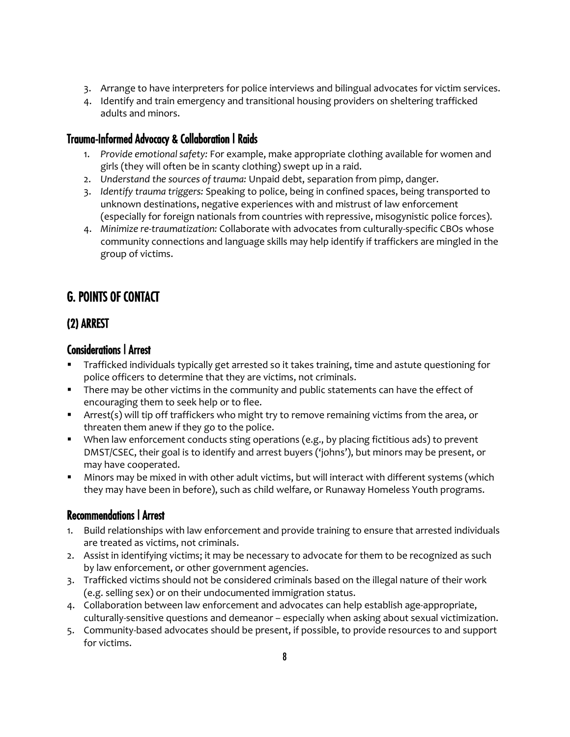- 3. Arrange to have interpreters for police interviews and bilingual advocates for victim services.
- 4. Identify and train emergency and transitional housing providers on sheltering trafficked adults and minors.

## Trauma-Informed Advocacy & Collaboration | Raids

- 1. *Provide emotional safety:* For example, make appropriate clothing available for women and girls (they will often be in scanty clothing) swept up in a raid.
- 2. *Understand the sources of trauma:* Unpaid debt, separation from pimp, danger.
- 3. *Identify trauma triggers:* Speaking to police, being in confined spaces, being transported to unknown destinations, negative experiences with and mistrust of law enforcement (especially for foreign nationals from countries with repressive, misogynistic police forces).
- 4. *Minimize re-traumatization:* Collaborate with advocates from culturally-specific CBOs whose community connections and language skills may help identify if traffickers are mingled in the group of victims.

# G. POINTS OF CONTACT

## (2) ARREST

## Considerations | Arrest

- Trafficked individuals typically get arrested so it takes training, time and astute questioning for police officers to determine that they are victims, not criminals.
- There may be other victims in the community and public statements can have the effect of encouraging them to seek help or to flee.
- **F** Arrest(s) will tip off traffickers who might try to remove remaining victims from the area, or threaten them anew if they go to the police.
- When law enforcement conducts sting operations (e.g., by placing fictitious ads) to prevent DMST/CSEC, their goal is to identify and arrest buyers ('johns'), but minors may be present, or may have cooperated.
- Minors may be mixed in with other adult victims, but will interact with different systems (which they may have been in before), such as child welfare, or Runaway Homeless Youth programs.

## Recommendations | Arrest

- 1. Build relationships with law enforcement and provide training to ensure that arrested individuals are treated as victims, not criminals.
- 2. Assist in identifying victims; it may be necessary to advocate for them to be recognized as such by law enforcement, or other government agencies.
- 3. Trafficked victims should not be considered criminals based on the illegal nature of their work (e.g. selling sex) or on their undocumented immigration status.
- 4. Collaboration between law enforcement and advocates can help establish age-appropriate, culturally-sensitive questions and demeanor – especially when asking about sexual victimization.
- 5. Community-based advocates should be present, if possible, to provide resources to and support for victims.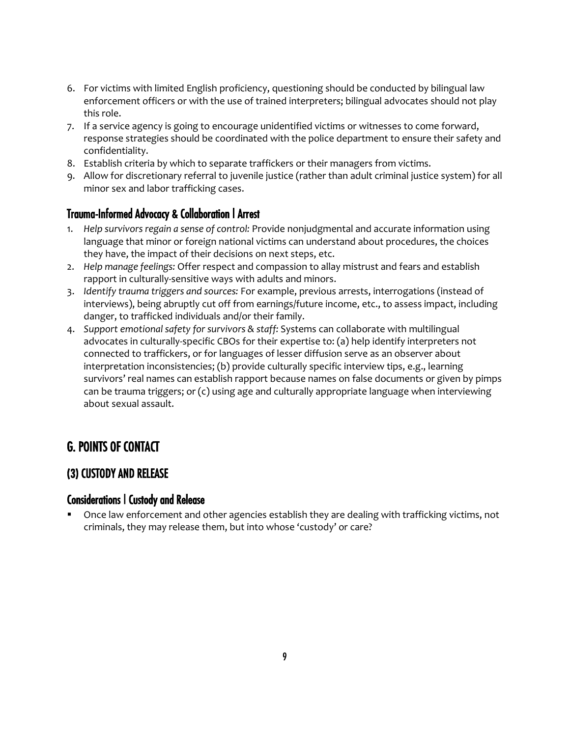- 6. For victims with limited English proficiency, questioning should be conducted by bilingual law enforcement officers or with the use of trained interpreters; bilingual advocates should not play this role.
- 7. If a service agency is going to encourage unidentified victims or witnesses to come forward, response strategies should be coordinated with the police department to ensure their safety and confidentiality.
- 8. Establish criteria by which to separate traffickers or their managers from victims.
- 9. Allow for discretionary referral to juvenile justice (rather than adult criminal justice system) for all minor sex and labor trafficking cases.

#### Trauma-Informed Advocacy & Collaboration | Arrest

- 1. *Help survivors regain a sense of control:* Provide nonjudgmental and accurate information using language that minor or foreign national victims can understand about procedures, the choices they have, the impact of their decisions on next steps, etc.
- 2. *Help manage feelings:* Offer respect and compassion to allay mistrust and fears and establish rapport in culturally-sensitive ways with adults and minors.
- 3. *Identify trauma triggers and sources:* For example, previous arrests, interrogations (instead of interviews), being abruptly cut off from earnings/future income, etc., to assess impact, including danger, to trafficked individuals and/or their family.
- 4. *Support emotional safety for survivors & staff:* Systems can collaborate with multilingual advocates in culturally-specific CBOs for their expertise to: (a) help identify interpreters not connected to traffickers, or for languages of lesser diffusion serve as an observer about interpretation inconsistencies; (b) provide culturally specific interview tips, e.g., learning survivors' real names can establish rapport because names on false documents or given by pimps can be trauma triggers; or (c) using age and culturally appropriate language when interviewing about sexual assault.

## G. POINTS OF CONTACT

## (3) CUSTODY AND RELEASE

#### Considerations | Custody and Release

 Once law enforcement and other agencies establish they are dealing with trafficking victims, not criminals, they may release them, but into whose 'custody' or care?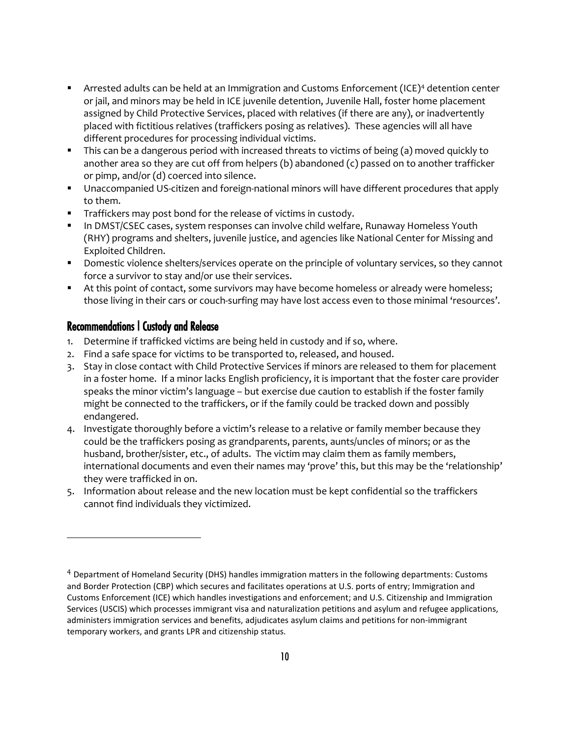- **F** Arrested adults can be held at an Immigration and Customs Enforcement (ICE)<sup>[4](#page-9-0)</sup> detention center or jail, and minors may be held in ICE juvenile detention, Juvenile Hall, foster home placement assigned by Child Protective Services, placed with relatives (if there are any), or inadvertently placed with fictitious relatives (traffickers posing as relatives). These agencies will all have different procedures for processing individual victims.
- This can be a dangerous period with increased threats to victims of being (a) moved quickly to another area so they are cut off from helpers (b) abandoned (c) passed on to another trafficker or pimp, and/or (d) coerced into silence.
- Unaccompanied US-citizen and foreign-national minors will have different procedures that apply to them.
- **Traffickers may post bond for the release of victims in custody.**
- **IFT In DMST/CSEC cases, system responses can involve child welfare, Runaway Homeless Youth** (RHY) programs and shelters, juvenile justice, and agencies like National Center for Missing and Exploited Children.
- **Domestic violence shelters/services operate on the principle of voluntary services, so they cannot** force a survivor to stay and/or use their services.
- At this point of contact, some survivors may have become homeless or already were homeless; those living in their cars or couch-surfing may have lost access even to those minimal 'resources'.

#### Recommendations | Custody and Release

 $\overline{\phantom{a}}$ 

- 1. Determine if trafficked victims are being held in custody and if so, where.
- 2. Find a safe space for victims to be transported to, released, and housed.
- 3. Stay in close contact with Child Protective Services if minors are released to them for placement in a foster home. If a minor lacks English proficiency, it is important that the foster care provider speaks the minor victim's language – but exercise due caution to establish if the foster family might be connected to the traffickers, or if the family could be tracked down and possibly endangered.
- 4. Investigate thoroughly before a victim's release to a relative or family member because they could be the traffickers posing as grandparents, parents, aunts/uncles of minors; or as the husband, brother/sister, etc., of adults. The victim may claim them as family members, international documents and even their names may 'prove' this, but this may be the 'relationship' they were trafficked in on.
- 5. Information about release and the new location must be kept confidential so the traffickers cannot find individuals they victimized.

<span id="page-9-0"></span><sup>4</sup> Department of Homeland Security (DHS) handles immigration matters in the following departments: Customs and Border Protection (CBP) which secures and facilitates operations at U.S. ports of entry; Immigration and Customs Enforcement (ICE) which handles investigations and enforcement; and U.S. Citizenship and Immigration Services (USCIS) which processes immigrant visa and naturalization petitions and asylum and refugee applications, administers immigration services and benefits, adjudicates asylum claims and petitions for non-immigrant temporary workers, and grants LPR and citizenship status.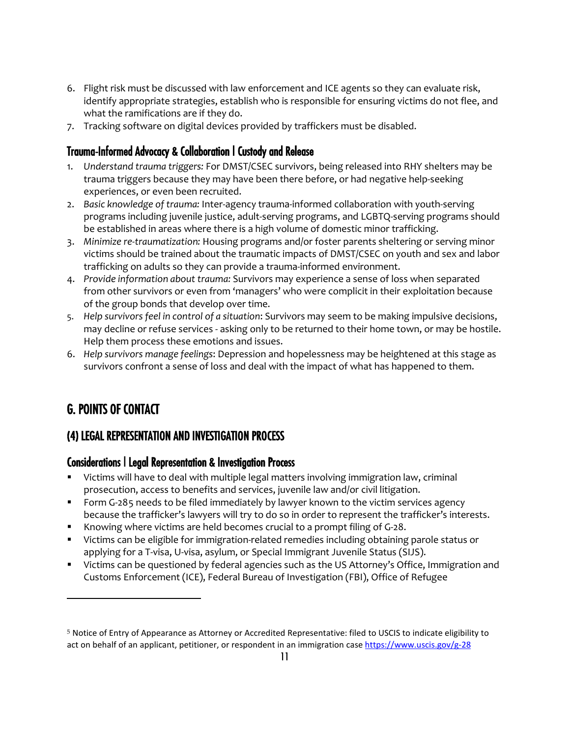- 6. Flight risk must be discussed with law enforcement and ICE agents so they can evaluate risk, identify appropriate strategies, establish who is responsible for ensuring victims do not flee, and what the ramifications are if they do.
- 7. Tracking software on digital devices provided by traffickers must be disabled.

## Trauma-Informed Advocacy & Collaboration | Custody and Release

- 1. *Understand trauma triggers:* For DMST/CSEC survivors, being released into RHY shelters may be trauma triggers because they may have been there before, or had negative help-seeking experiences, or even been recruited.
- 2. *Basic knowledge of trauma:* Inter-agency trauma-informed collaboration with youth-serving programs including juvenile justice, adult-serving programs, and LGBTQ-serving programs should be established in areas where there is a high volume of domestic minor trafficking.
- 3. *Minimize re-traumatization:* Housing programs and/or foster parents sheltering or serving minor victims should be trained about the traumatic impacts of DMST/CSEC on youth and sex and labor trafficking on adults so they can provide a trauma-informed environment.
- 4. *Provide information about trauma:* Survivors may experience a sense of loss when separated from other survivors or even from 'managers' who were complicit in their exploitation because of the group bonds that develop over time.
- 5. *Help survivors feel in control of a situation*: Survivors may seem to be making impulsive decisions, may decline or refuse services - asking only to be returned to their home town, or may be hostile. Help them process these emotions and issues.
- 6. *Help survivors manage feelings*: Depression and hopelessness may be heightened at this stage as survivors confront a sense of loss and deal with the impact of what has happened to them.

# G. POINTS OF CONTACT

l

## (4) LEGAL REPRESENTATION AND INVESTIGATION PROCESS

## Considerations | Legal Representation & Investigation Process

- Victims will have to deal with multiple legal matters involving immigration law, criminal prosecution, access to benefits and services, juvenile law and/or civil litigation.
- **Form G-28[5](#page-10-0) needs to be filed immediately by lawyer known to the victim services agency** because the trafficker's lawyers will try to do so in order to represent the trafficker's interests.
- Knowing where victims are held becomes crucial to a prompt filing of G-28.
- Victims can be eligible for immigration-related remedies including obtaining parole status or applying for a T-visa, U-visa, asylum, or Special Immigrant Juvenile Status (SIJS).
- Victims can be questioned by federal agencies such as the US Attorney's Office, Immigration and Customs Enforcement (ICE), Federal Bureau of Investigation (FBI), Office of Refugee

<span id="page-10-0"></span><sup>5</sup> Notice of Entry of Appearance as Attorney or Accredited Representative: filed to USCIS to indicate eligibility to act on behalf of an applicant, petitioner, or respondent in an immigration case <https://www.uscis.gov/g-28>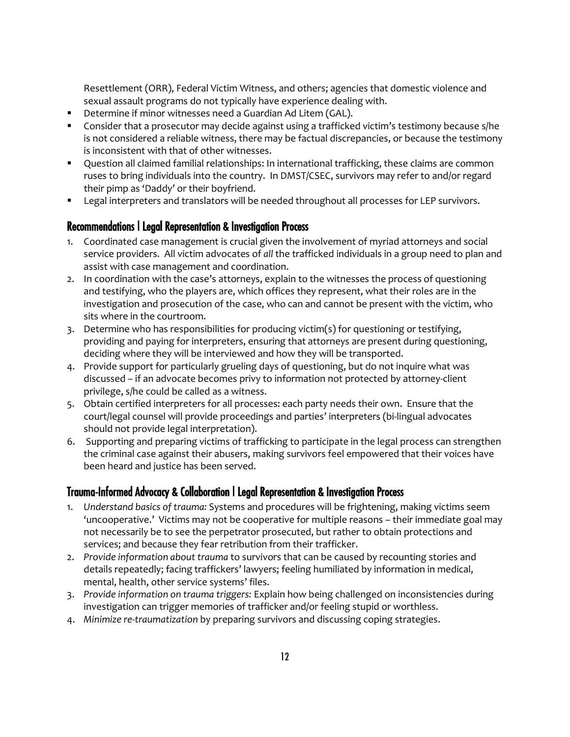Resettlement (ORR), Federal Victim Witness, and others; agencies that domestic violence and sexual assault programs do not typically have experience dealing with.

- Determine if minor witnesses need a Guardian Ad Litem (GAL).
- Consider that a prosecutor may decide against using a trafficked victim's testimony because s/he is not considered a reliable witness, there may be factual discrepancies, or because the testimony is inconsistent with that of other witnesses.
- **Question all claimed familial relationships: In international trafficking, these claims are common** ruses to bring individuals into the country. In DMST/CSEC, survivors may refer to and/or regard their pimp as 'Daddy' or their boyfriend.
- **EXECT** Legal interpreters and translators will be needed throughout all processes for LEP survivors.

#### Recommendations | Legal Representation & Investigation Process

- 1. Coordinated case management is crucial given the involvement of myriad attorneys and social service providers. All victim advocates of *all* the trafficked individuals in a group need to plan and assist with case management and coordination.
- 2. In coordination with the case's attorneys, explain to the witnesses the process of questioning and testifying, who the players are, which offices they represent, what their roles are in the investigation and prosecution of the case, who can and cannot be present with the victim, who sits where in the courtroom.
- 3. Determine who has responsibilities for producing victim(s) for questioning or testifying, providing and paying for interpreters, ensuring that attorneys are present during questioning, deciding where they will be interviewed and how they will be transported.
- 4. Provide support for particularly grueling days of questioning, but do not inquire what was discussed – if an advocate becomes privy to information not protected by attorney-client privilege, s/he could be called as a witness.
- 5. Obtain certified interpreters for all processes: each party needs their own. Ensure that the court/legal counsel will provide proceedings and parties' interpreters (bi-lingual advocates should not provide legal interpretation).
- 6. Supporting and preparing victims of trafficking to participate in the legal process can strengthen the criminal case against their abusers, making survivors feel empowered that their voices have been heard and justice has been served.

#### Trauma-Informed Advocacy & Collaboration | Legal Representation & Investigation Process

- 1. *Understand basics of trauma:* Systems and procedures will be frightening, making victims seem 'uncooperative.' Victims may not be cooperative for multiple reasons – their immediate goal may not necessarily be to see the perpetrator prosecuted, but rather to obtain protections and services; and because they fear retribution from their trafficker.
- 2. *Provide information about trauma* to survivors that can be caused by recounting stories and details repeatedly; facing traffickers' lawyers; feeling humiliated by information in medical, mental, health, other service systems' files.
- 3. *Provide information on trauma triggers:* Explain how being challenged on inconsistencies during investigation can trigger memories of trafficker and/or feeling stupid or worthless.
- 4. *Minimize re-traumatization* by preparing survivors and discussing coping strategies.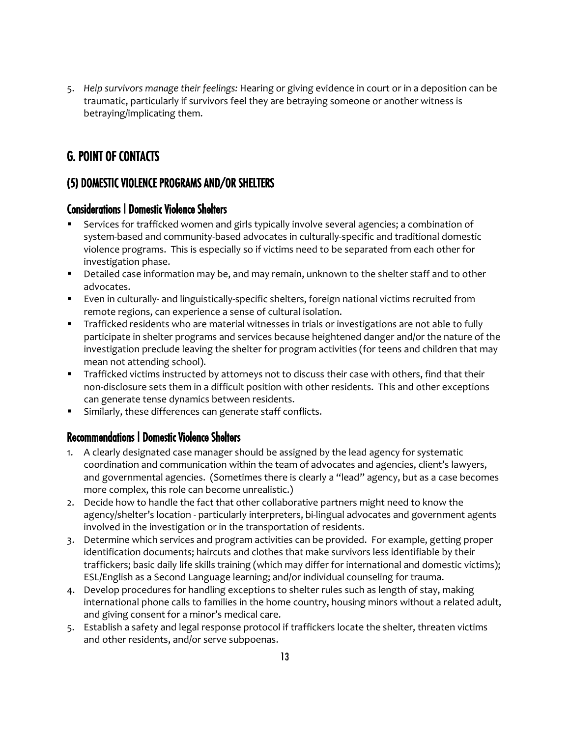5. *Help survivors manage their feelings:* Hearing or giving evidence in court or in a deposition can be traumatic, particularly if survivors feel they are betraying someone or another witness is betraying/implicating them.

# G. POINT OF CONTACTS

## (5) DOMESTIC VIOLENCE PROGRAMS AND/OR SHELTERS

### Considerations | Domestic Violence Shelters

- Services for trafficked women and girls typically involve several agencies; a combination of system-based and community-based advocates in culturally-specific and traditional domestic violence programs. This is especially so if victims need to be separated from each other for investigation phase.
- **Detailed case information may be, and may remain, unknown to the shelter staff and to other** advocates.
- Even in culturally- and linguistically-specific shelters, foreign national victims recruited from remote regions, can experience a sense of cultural isolation.
- Trafficked residents who are material witnesses in trials or investigations are not able to fully participate in shelter programs and services because heightened danger and/or the nature of the investigation preclude leaving the shelter for program activities (for teens and children that may mean not attending school).
- Trafficked victims instructed by attorneys not to discuss their case with others, find that their non-disclosure sets them in a difficult position with other residents. This and other exceptions can generate tense dynamics between residents.
- Similarly, these differences can generate staff conflicts.

#### Recommendations | Domestic Violence Shelters

- 1. A clearly designated case manager should be assigned by the lead agency for systematic coordination and communication within the team of advocates and agencies, client's lawyers, and governmental agencies. (Sometimes there is clearly a "lead" agency, but as a case becomes more complex, this role can become unrealistic.)
- 2. Decide how to handle the fact that other collaborative partners might need to know the agency/shelter's location - particularly interpreters, bi-lingual advocates and government agents involved in the investigation or in the transportation of residents.
- 3. Determine which services and program activities can be provided. For example, getting proper identification documents; haircuts and clothes that make survivors less identifiable by their traffickers; basic daily life skills training (which may differ for international and domestic victims); ESL/English as a Second Language learning; and/or individual counseling for trauma.
- 4. Develop procedures for handling exceptions to shelter rules such as length of stay, making international phone calls to families in the home country, housing minors without a related adult, and giving consent for a minor's medical care.
- 5. Establish a safety and legal response protocol if traffickers locate the shelter, threaten victims and other residents, and/or serve subpoenas.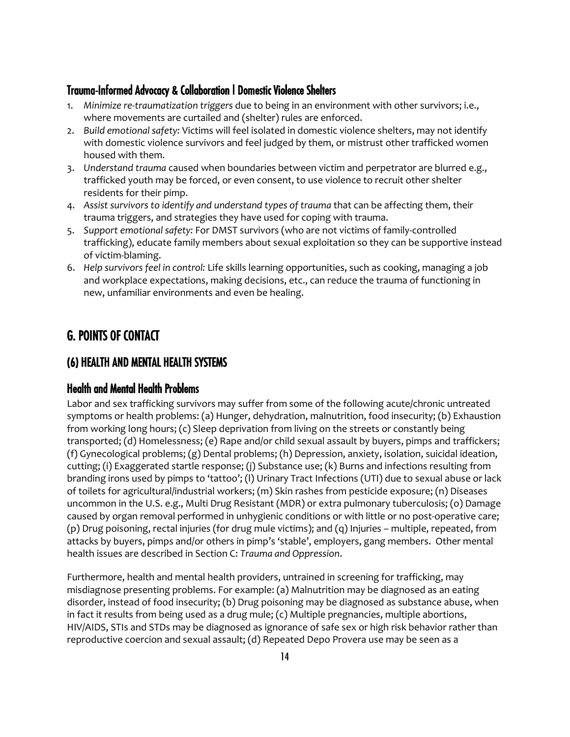## Trauma-Informed Advocacy & Collaboration | Domestic Violence Shelters

- 1. *Minimize re-traumatization triggers* due to being in an environment with other survivors; i.e., where movements are curtailed and (shelter) rules are enforced.
- 2. *Build emotional safety:* Victims will feel isolated in domestic violence shelters, may not identify with domestic violence survivors and feel judged by them, or mistrust other trafficked women housed with them.
- 3. *Understand trauma* caused when boundaries between victim and perpetrator are blurred e.g., trafficked youth may be forced, or even consent, to use violence to recruit other shelter residents for their pimp.
- 4. *Assist survivors to identify and understand types of trauma* that can be affecting them, their trauma triggers, and strategies they have used for coping with trauma.
- 5. *Support emotional safety:* For DMST survivors (who are not victims of family-controlled trafficking), educate family members about sexual exploitation so they can be supportive instead of victim-blaming.
- 6. *Help survivors feel in control:* Life skills learning opportunities, such as cooking, managing a job and workplace expectations, making decisions, etc., can reduce the trauma of functioning in new, unfamiliar environments and even be healing.

## G. POINTS OF CONTACT

## (6) HEALTH AND MENTAL HEALTH SYSTEMS

#### Health and Mental Health Problems

Labor and sex trafficking survivors may suffer from some of the following acute/chronic untreated symptoms or health problems: (a) Hunger, dehydration, malnutrition, food insecurity; (b) Exhaustion from working long hours; (c) Sleep deprivation from living on the streets or constantly being transported; (d) Homelessness; (e) Rape and/or child sexual assault by buyers, pimps and traffickers; (f) Gynecological problems; (g) Dental problems; (h) Depression, anxiety, isolation, suicidal ideation, cutting; (i) Exaggerated startle response; (j) Substance use; (k) Burns and infections resulting from branding irons used by pimps to 'tattoo'; (l) Urinary Tract Infections (UTI) due to sexual abuse or lack of toilets for agricultural/industrial workers; (m) Skin rashes from pesticide exposure; (n) Diseases uncommon in the U.S. e.g., Multi Drug Resistant (MDR) or extra pulmonary tuberculosis; (o) Damage caused by organ removal performed in unhygienic conditions or with little or no post-operative care; (p) Drug poisoning, rectal injuries (for drug mule victims); and (q) Injuries – multiple, repeated, from attacks by buyers, pimps and/or others in pimp's 'stable', employers, gang members. Other mental health issues are described in Section C: *Trauma and Oppression*.

Furthermore, health and mental health providers, untrained in screening for trafficking, may misdiagnose presenting problems. For example: (a) Malnutrition may be diagnosed as an eating disorder, instead of food insecurity; (b) Drug poisoning may be diagnosed as substance abuse, when in fact it results from being used as a drug mule; (c) Multiple pregnancies, multiple abortions, HIV/AIDS, STIs and STDs may be diagnosed as ignorance of safe sex or high risk behavior rather than reproductive coercion and sexual assault; (d) Repeated Depo Provera use may be seen as a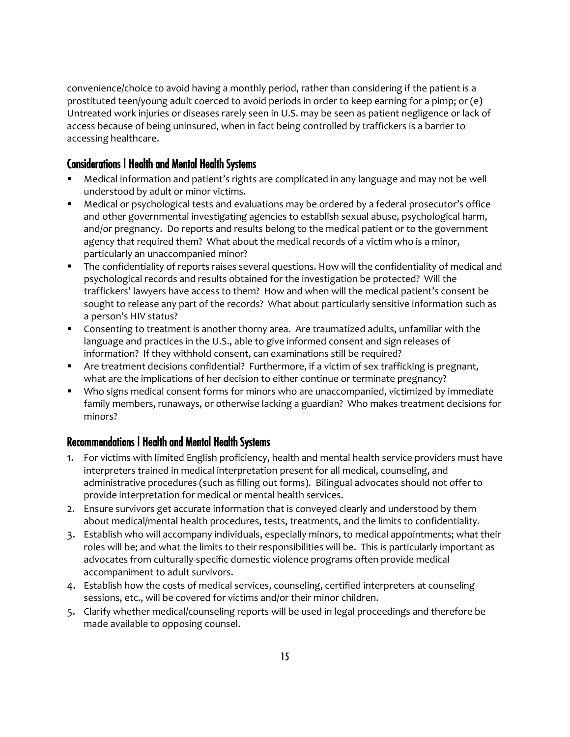convenience/choice to avoid having a monthly period, rather than considering if the patient is a prostituted teen/young adult coerced to avoid periods in order to keep earning for a pimp; or (e) Untreated work injuries or diseases rarely seen in U.S. may be seen as patient negligence or lack of access because of being uninsured, when in fact being controlled by traffickers is a barrier to accessing healthcare.

#### Considerations | Health and Mental Health Systems

- Medical information and patient's rights are complicated in any language and may not be well understood by adult or minor victims.
- Medical or psychological tests and evaluations may be ordered by a federal prosecutor's office and other governmental investigating agencies to establish sexual abuse, psychological harm, and/or pregnancy. Do reports and results belong to the medical patient or to the government agency that required them? What about the medical records of a victim who is a minor, particularly an unaccompanied minor?
- The confidentiality of reports raises several questions. How will the confidentiality of medical and psychological records and results obtained for the investigation be protected? Will the traffickers' lawyers have access to them? How and when will the medical patient's consent be sought to release any part of the records? What about particularly sensitive information such as a person's HIV status?
- Consenting to treatment is another thorny area. Are traumatized adults, unfamiliar with the language and practices in the U.S., able to give informed consent and sign releases of information? If they withhold consent, can examinations still be required?
- Are treatment decisions confidential? Furthermore, if a victim of sex trafficking is pregnant, what are the implications of her decision to either continue or terminate pregnancy?
- Who signs medical consent forms for minors who are unaccompanied, victimized by immediate family members, runaways, or otherwise lacking a guardian? Who makes treatment decisions for minors?

## Recommendations | Health and Mental Health Systems

- 1. For victims with limited English proficiency, health and mental health service providers must have interpreters trained in medical interpretation present for all medical, counseling, and administrative procedures (such as filling out forms). Bilingual advocates should not offer to provide interpretation for medical or mental health services.
- 2. Ensure survivors get accurate information that is conveyed clearly and understood by them about medical/mental health procedures, tests, treatments, and the limits to confidentiality.
- 3. Establish who will accompany individuals, especially minors, to medical appointments; what their roles will be; and what the limits to their responsibilities will be. This is particularly important as advocates from culturally-specific domestic violence programs often provide medical accompaniment to adult survivors.
- 4. Establish how the costs of medical services, counseling, certified interpreters at counseling sessions, etc., will be covered for victims and/or their minor children.
- 5. Clarify whether medical/counseling reports will be used in legal proceedings and therefore be made available to opposing counsel.